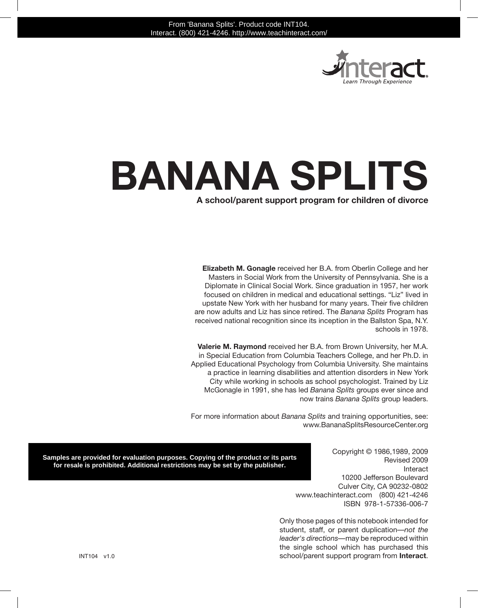

# **Banana Splits**

#### **A school/parent support program for children of divorce**

**Elizabeth M. Gonagle** received her B.A. from Oberlin College and her Masters in Social Work from the University of Pennsylvania. She is a Diplomate in Clinical Social Work. Since graduation in 1957, her work focused on children in medical and educational settings. "Liz" lived in upstate New York with her husband for many years. Their five children are now adults and Liz has since retired. The *Banana Splits* Program has received national recognition since its inception in the Ballston Spa, N.Y. schools in 1978.

**Valerie M. Raymond** received her B.A. from Brown University, her M.A. in Special Education from Columbia Teachers College, and her Ph.D. in Applied Educational Psychology from Columbia University. She maintains a practice in learning disabilities and attention disorders in New York City while working in schools as school psychologist. Trained by Liz McGonagle in 1991, she has led *Banana Splits* groups ever since and now trains *Banana Splits* group leaders.

For more information about *Banana Splits* and training opportunities, see: www.BananaSplitsResourceCenter.org

**Samples are provided for evaluation purposes. Copying of the product or its parts for resale is prohibited. Additional restrictions may be set by the publisher.**

Copyright © 1986,1989, 2009 Revised 2009 Interact 10200 Jefferson Boulevard Culver City, CA 90232-0802 www.teachinteract.com (800) 421-4246 ISBN 978-1-57336-006-7

Only those pages of this notebook intended for student, staff, or parent duplication—*not the leader's directions—*may be reproduced within the single school which has purchased this school/parent support program from **Interact**.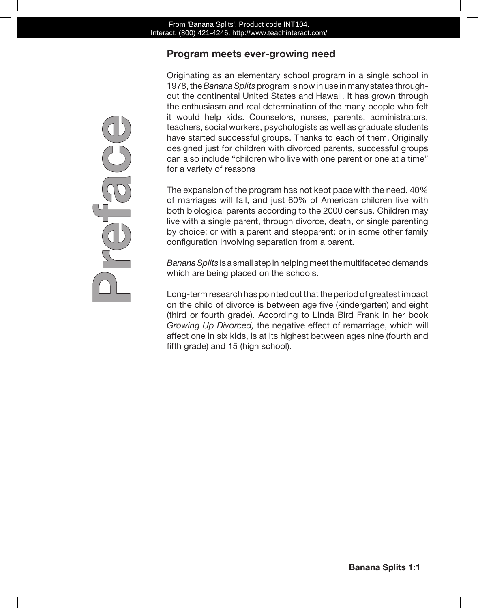## **Program meets ever-growing need**

Originating as an elementary school program in a single school in 1978, the *Banana Splits* program is now in use in many states throughout the continental United States and Hawaii. It has grown through the enthusiasm and real determination of the many people who felt it would help kids. Counselors, nurses, parents, administrators, teachers, social workers, psychologists as well as graduate students have started successful groups. Thanks to each of them. Originally designed just for children with divorced parents, successful groups can also include "children who live with one parent or one at a time" for a variety of reasons

The expansion of the program has not kept pace with the need. 40% of marriages will fail, and just 60% of American children live with both biological parents according to the 2000 census. Children may live with a single parent, through divorce, death, or single parenting by choice; or with a parent and stepparent; or in some other family configuration involving separation from a parent.

*Banana Splits* is a small step in helping meet the multifaceted demands which are being placed on the schools.

Long-term research has pointed out that the period of greatest impact on the child of divorce is between age five (kindergarten) and eight (third or fourth grade). According to Linda Bird Frank in her book *Growing Up Divorced,* the negative effect of remarriage, which will affect one in six kids, is at its highest between ages nine (fourth and fifth grade) and 15 (high school).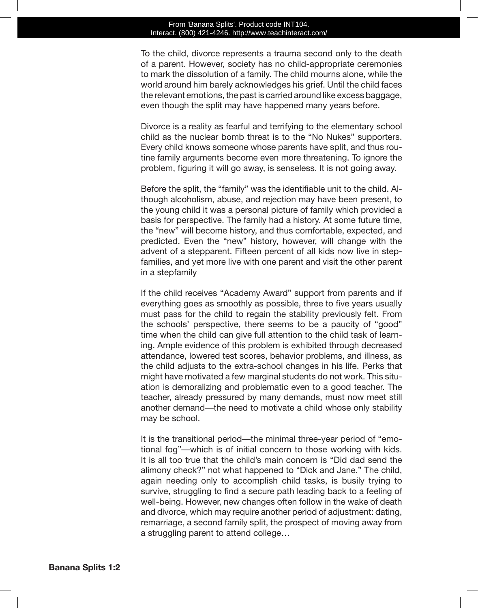#### From 'Banana Splits'. Product code INT104. Interact. (800) 421-4246. http://www.teachinteract.com/

To the child, divorce represents a trauma second only to the death of a parent. However, society has no child-appropriate ceremonies to mark the dissolution of a family. The child mourns alone, while the world around him barely acknowledges his grief. Until the child faces the relevant emotions, the past is carried around like excess baggage, even though the split may have happened many years before.

Divorce is a reality as fearful and terrifying to the elementary school child as the nuclear bomb threat is to the "No Nukes" supporters. Every child knows someone whose parents have split, and thus routine family arguments become even more threatening. To ignore the problem, figuring it will go away, is senseless. It is not going away.

Before the split, the "family" was the identifiable unit to the child. Although alcoholism, abuse, and rejection may have been present, to the young child it was a personal picture of family which provided a basis for perspective. The family had a history. At some future time, the "new" will become history, and thus comfortable, expected, and predicted. Even the "new" history, however, will change with the advent of a stepparent. Fifteen percent of all kids now live in stepfamilies, and yet more live with one parent and visit the other parent in a stepfamily

If the child receives "Academy Award" support from parents and if everything goes as smoothly as possible, three to five years usually must pass for the child to regain the stability previously felt. From the schools' perspective, there seems to be a paucity of "good" time when the child can give full attention to the child task of learning. Ample evidence of this problem is exhibited through decreased attendance, lowered test scores, behavior problems, and illness, as the child adjusts to the extra-school changes in his life. Perks that might have motivated a few marginal students do not work. This situation is demoralizing and problematic even to a good teacher. The teacher, already pressured by many demands, must now meet still another demand—the need to motivate a child whose only stability may be school.

It is the transitional period—the minimal three-year period of "emotional fog"—which is of initial concern to those working with kids. It is all too true that the child's main concern is "Did dad send the alimony check?" not what happened to "Dick and Jane." The child, again needing only to accomplish child tasks, is busily trying to survive, struggling to find a secure path leading back to a feeling of well-being. However, new changes often follow in the wake of death and divorce, which may require another period of adjustment: dating, remarriage, a second family split, the prospect of moving away from a struggling parent to attend college…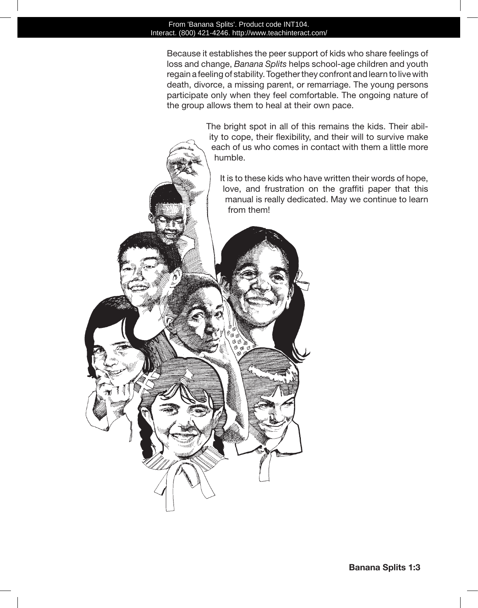#### From 'Banana Splits'. Product code INT104. Interact. (800) 421-4246. http://www.teachinteract.com/

ςQ

Because it establishes the peer support of kids who share feelings of loss and change, *Banana Splits* helps school-age children and youth regain a feeling of stability. Together they confront and learn to live with death, divorce, a missing parent, or remarriage. The young persons participate only when they feel comfortable. The ongoing nature of the group allows them to heal at their own pace.

> The bright spot in all of this remains the kids. Their ability to cope, their flexibility, and their will to survive make each of us who comes in contact with them a little more humble.

It is to these kids who have written their words of hope, love, and frustration on the graffiti paper that this manual is really dedicated. May we continue to learn from them!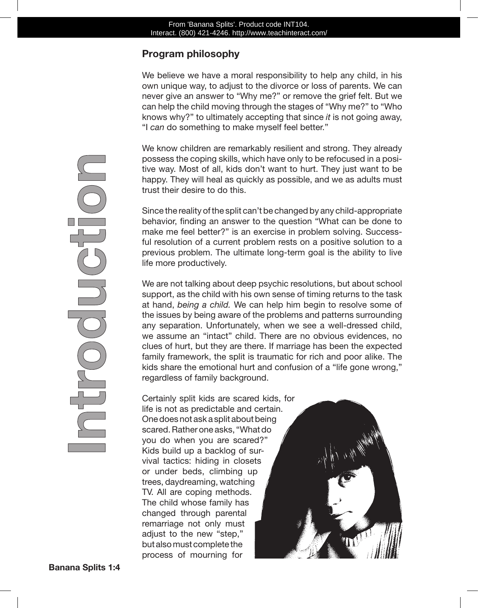## **Program philosophy**

We believe we have a moral responsibility to help any child, in his own unique way, to adjust to the divorce or loss of parents. We can never give an answer to "Why me?" or remove the grief felt. But we can help the child moving through the stages of "Why me?" to "Who knows why?" to ultimately accepting that since *it* is not going away, "I *can* do something to make myself feel better."

We know children are remarkably resilient and strong. They already possess the coping skills, which have only to be refocused in a positive way. Most of all, kids don't want to hurt. They just want to be happy. They will heal as quickly as possible, and we as adults must trust their desire to do this.

Since the reality of the split can't be changed by any child-appropriate behavior, finding an answer to the question "What can be done to make me feel better?" is an exercise in problem solving. Successful resolution of a current problem rests on a positive solution to a previous problem. The ultimate long-term goal is the ability to live life more productively.

We are not talking about deep psychic resolutions, but about school support, as the child with his own sense of timing returns to the task at hand, *being a child.* We can help him begin to resolve some of the issues by being aware of the problems and patterns surrounding any separation. Unfortunately, when we see a well-dressed child, we assume an "intact" child. There are no obvious evidences, no clues of hurt, but they are there. If marriage has been the expected family framework, the split is traumatic for rich and poor alike. The kids share the emotional hurt and confusion of a "life gone wrong," regardless of family background.

Certainly split kids are scared kids, for life is not as predictable and certain. One does not ask a split about being scared. Rather one asks, "What do you do when you are scared?" Kids build up a backlog of survival tactics: hiding in closets or under beds, climbing up trees, daydreaming, watching TV. All are coping methods. The child whose family has changed through parental remarriage not only must adjust to the new "step," but also must complete the process of mourning for

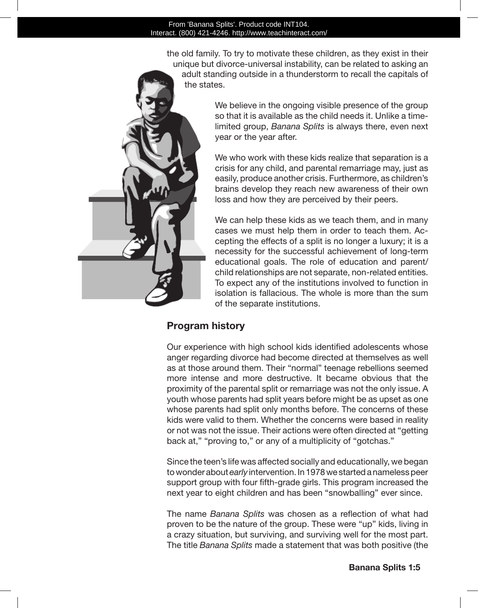the old family. To try to motivate these children, as they exist in their unique but divorce-universal instability, can be related to asking an adult standing outside in a thunderstorm to recall the capitals of the states.



We believe in the ongoing visible presence of the group so that it is available as the child needs it. Unlike a timelimited group, *Banana Splits* is always there, even next year or the year after.

We who work with these kids realize that separation is a crisis for any child, and parental remarriage may, just as easily, produce another crisis. Furthermore, as children's brains develop they reach new awareness of their own loss and how they are perceived by their peers.

We can help these kids as we teach them, and in many cases we must help them in order to teach them. Accepting the effects of a split is no longer a luxury; it is a necessity for the successful achievement of long-term educational goals. The role of education and parent/ child relationships are not separate, non-related entities. To expect any of the institutions involved to function in isolation is fallacious. The whole is more than the sum of the separate institutions.

## **Program history**

Our experience with high school kids identified adolescents whose anger regarding divorce had become directed at themselves as well as at those around them. Their "normal" teenage rebellions seemed more intense and more destructive. It became obvious that the proximity of the parental split or remarriage was not the only issue. A youth whose parents had split years before might be as upset as one whose parents had split only months before. The concerns of these kids were valid to them. Whether the concerns were based in reality or not was not the issue. Their actions were often directed at "getting back at," "proving to," or any of a multiplicity of "gotchas."

Since the teen's life was affected socially and educationally, we began to wonder about *early* intervention. In 1978 we started a nameless peer support group with four fifth-grade girls. This program increased the next year to eight children and has been "snowballing" ever since.

The name *Banana Splits* was chosen as a reflection of what had proven to be the nature of the group. These were "up" kids, living in a crazy situation, but surviving, and surviving well for the most part. The title *Banana Splits* made a statement that was both positive (the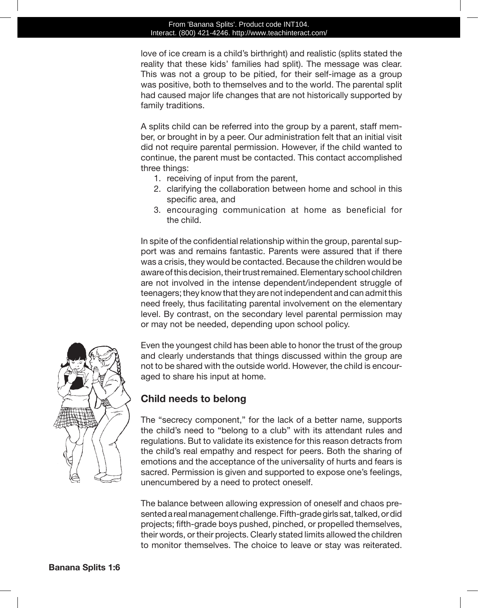#### From 'Banana Splits'. Product code INT104. Interact. (800) 421-4246. http://www.teachinteract.com/

love of ice cream is a child's birthright) and realistic (splits stated the reality that these kids' families had split). The message was clear. This was not a group to be pitied, for their self-image as a group was positive, both to themselves and to the world. The parental split had caused major life changes that are not historically supported by family traditions.

A splits child can be referred into the group by a parent, staff member, or brought in by a peer. Our administration felt that an initial visit did not require parental permission. However, if the child wanted to continue, the parent must be contacted. This contact accomplished three things:

- 1. receiving of input from the parent,
- 2. clarifying the collaboration between home and school in this specific area, and
- 3. encouraging communication at home as beneficial for the child.

In spite of the confidential relationship within the group, parental support was and remains fantastic. Parents were assured that if there was a crisis, they would be contacted. Because the children would be aware of this decision, their trust remained. Elementary school children are not involved in the intense dependent/independent struggle of teenagers; they know that they are not independent and can admit this need freely, thus facilitating parental involvement on the elementary level. By contrast, on the secondary level parental permission may or may not be needed, depending upon school policy.



Even the youngest child has been able to honor the trust of the group and clearly understands that things discussed within the group are not to be shared with the outside world. However, the child is encouraged to share his input at home.

## **Child needs to belong**

The "secrecy component," for the lack of a better name, supports the child's need to "belong to a club" with its attendant rules and regulations. But to validate its existence for this reason detracts from the child's real empathy and respect for peers. Both the sharing of emotions and the acceptance of the universality of hurts and fears is sacred. Permission is given and supported to expose one's feelings, unencumbered by a need to protect oneself.

The balance between allowing expression of oneself and chaos presented a real management challenge. Fifth-grade girls sat, talked, or did projects; fifth-grade boys pushed, pinched, or propelled themselves, their words, or their projects. Clearly stated limits allowed the children to monitor themselves. The choice to leave or stay was reiterated.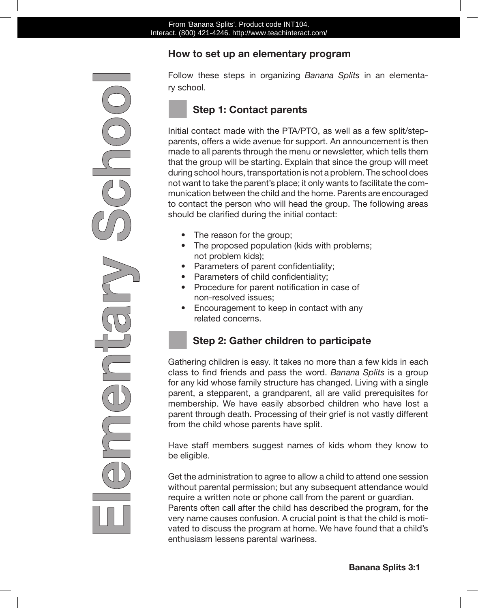## **How to set up an elementary program**

Follow these steps in organizing *Banana Splits* in an elementary school.

## ■ **Step 1: Contact parents**

Initial contact made with the PTA/PTO, as well as a few split/stepparents, offers a wide avenue for support. An announcement is then made to all parents through the menu or newsletter, which tells them that the group will be starting. Explain that since the group will meet during school hours, transportation is not a problem. The school does not want to take the parent's place; it only wants to facilitate the communication between the child and the home. Parents are encouraged to contact the person who will head the group. The following areas should be clarified during the initial contact:

- The reason for the group;
- The proposed population (kids with problems; not problem kids);
- Parameters of parent confidentiality;
- • Parameters of child confidentiality;
- Procedure for parent notification in case of non-resolved issues;
- Encouragement to keep in contact with any related concerns.

## ■ **Step 2: Gather children to participate**

Gathering children is easy. It takes no more than a few kids in each class to find friends and pass the word. *Banana Splits* is a group for any kid whose family structure has changed. Living with a single parent, a stepparent, a grandparent, all are valid prerequisites for membership. We have easily absorbed children who have lost a parent through death. Processing of their grief is not vastly different from the child whose parents have split.

Have staff members suggest names of kids whom they know to be eligible.

Get the administration to agree to allow a child to attend one session without parental permission; but any subsequent attendance would require a written note or phone call from the parent or guardian. Parents often call after the child has described the program, for the very name causes confusion. A crucial point is that the child is motivated to discuss the program at home. We have found that a child's enthusiasm lessens parental wariness.